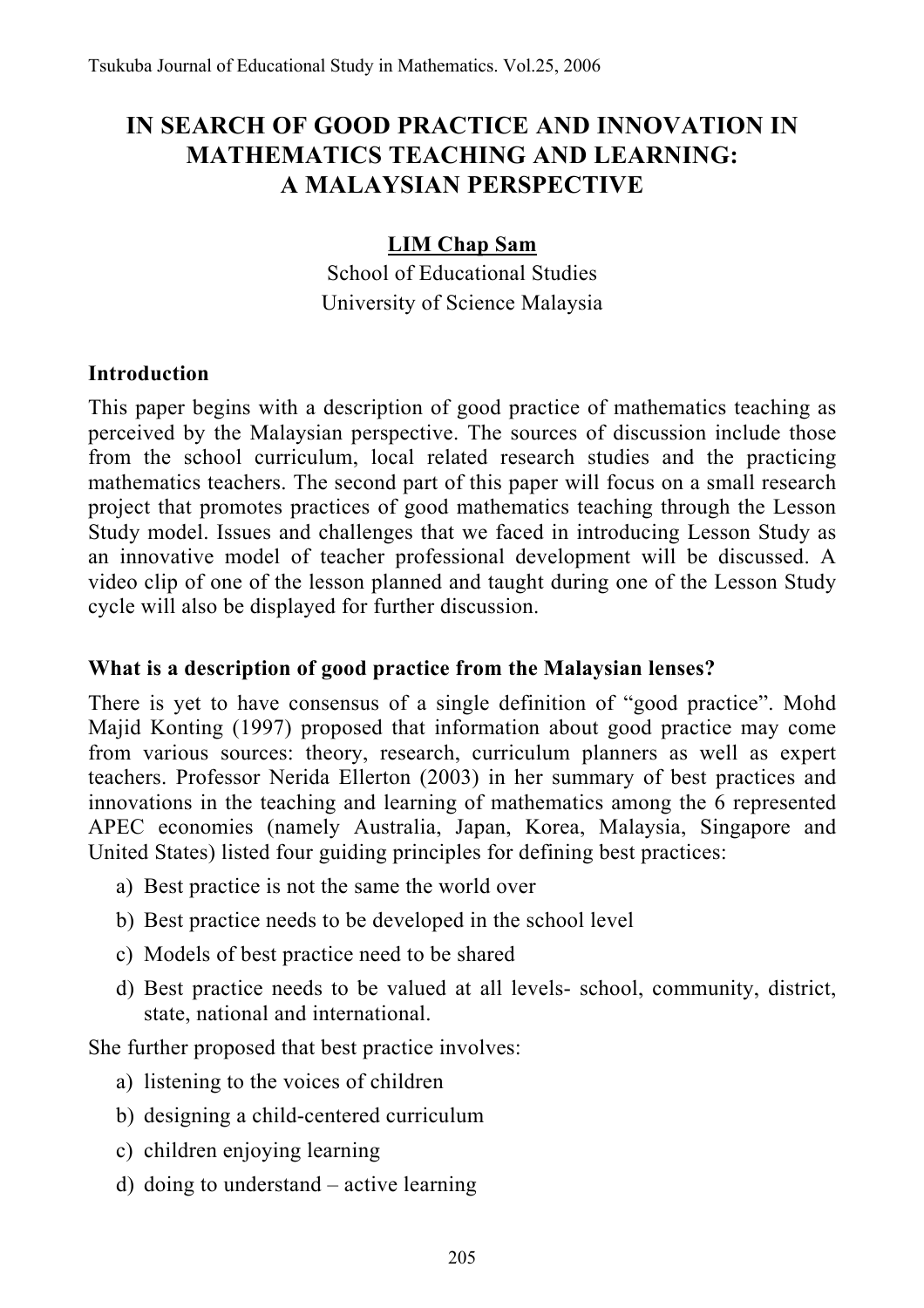# **IN SEARCH OF GOOD PRACTICE AND INNOVATION IN MATHEMATICS TEACHING AND LEARNING: A MALAYSIAN PERSPECTIVE**

#### **LIM Chap Sam**

School of Educational Studies University of Science Malaysia

#### **Introduction**

This paper begins with a description of good practice of mathematics teaching as perceived by the Malaysian perspective. The sources of discussion include those from the school curriculum, local related research studies and the practicing mathematics teachers. The second part of this paper will focus on a small research project that promotes practices of good mathematics teaching through the Lesson Study model. Issues and challenges that we faced in introducing Lesson Study as an innovative model of teacher professional development will be discussed. A video clip of one of the lesson planned and taught during one of the Lesson Study cycle will also be displayed for further discussion.

#### **What is a description of good practice from the Malaysian lenses?**

There is yet to have consensus of a single definition of "good practice". Mohd Majid Konting (1997) proposed that information about good practice may come from various sources: theory, research, curriculum planners as well as expert teachers. Professor Nerida Ellerton (2003) in her summary of best practices and innovations in the teaching and learning of mathematics among the 6 represented APEC economies (namely Australia, Japan, Korea, Malaysia, Singapore and United States) listed four guiding principles for defining best practices:

- a) Best practice is not the same the world over
- b) Best practice needs to be developed in the school level
- c) Models of best practice need to be shared
- d) Best practice needs to be valued at all levels- school, community, district, state, national and international.

She further proposed that best practice involves:

- a) listening to the voices of children
- b) designing a child-centered curriculum
- c) children enjoying learning
- d) doing to understand active learning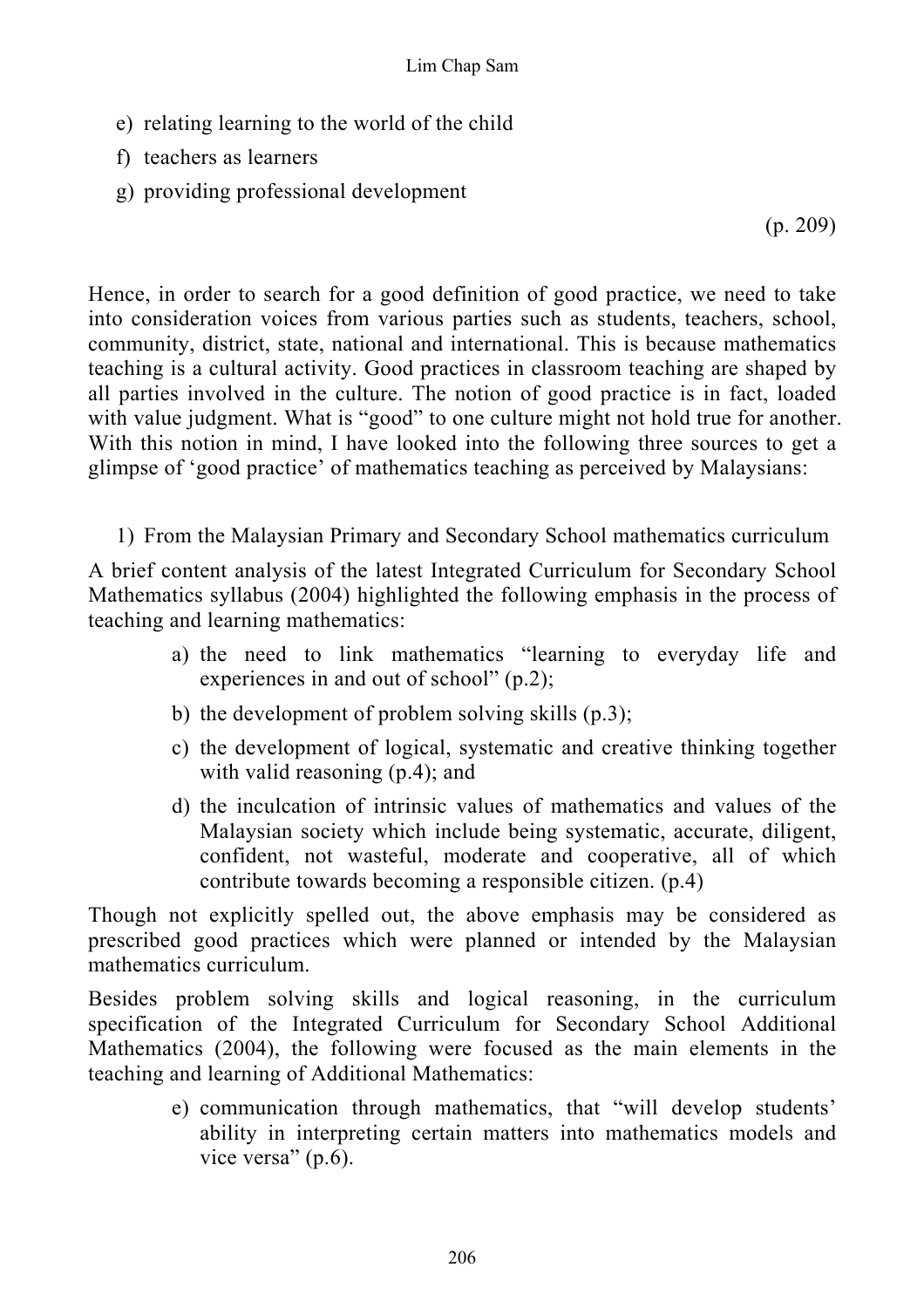- e) relating learning to the world of the child
- f) teachers as learners
- g) providing professional development

(p. 209)

Hence, in order to search for a good definition of good practice, we need to take into consideration voices from various parties such as students, teachers, school, community, district, state, national and international. This is because mathematics teaching is a cultural activity. Good practices in classroom teaching are shaped by all parties involved in the culture. The notion of good practice is in fact, loaded with value judgment. What is "good" to one culture might not hold true for another. With this notion in mind, I have looked into the following three sources to get a glimpse of 'good practice' of mathematics teaching as perceived by Malaysians:

1) From the Malaysian Primary and Secondary School mathematics curriculum

A brief content analysis of the latest Integrated Curriculum for Secondary School Mathematics syllabus (2004) highlighted the following emphasis in the process of teaching and learning mathematics:

- a) the need to link mathematics "learning to everyday life and experiences in and out of school" (p.2);
- b) the development of problem solving skills (p.3);
- c) the development of logical, systematic and creative thinking together with valid reasoning (p.4); and
- d) the inculcation of intrinsic values of mathematics and values of the Malaysian society which include being systematic, accurate, diligent, confident, not wasteful, moderate and cooperative, all of which contribute towards becoming a responsible citizen. (p.4)

Though not explicitly spelled out, the above emphasis may be considered as prescribed good practices which were planned or intended by the Malaysian mathematics curriculum.

Besides problem solving skills and logical reasoning, in the curriculum specification of the Integrated Curriculum for Secondary School Additional Mathematics (2004), the following were focused as the main elements in the teaching and learning of Additional Mathematics:

> e) communication through mathematics, that "will develop students' ability in interpreting certain matters into mathematics models and vice versa" (p.6).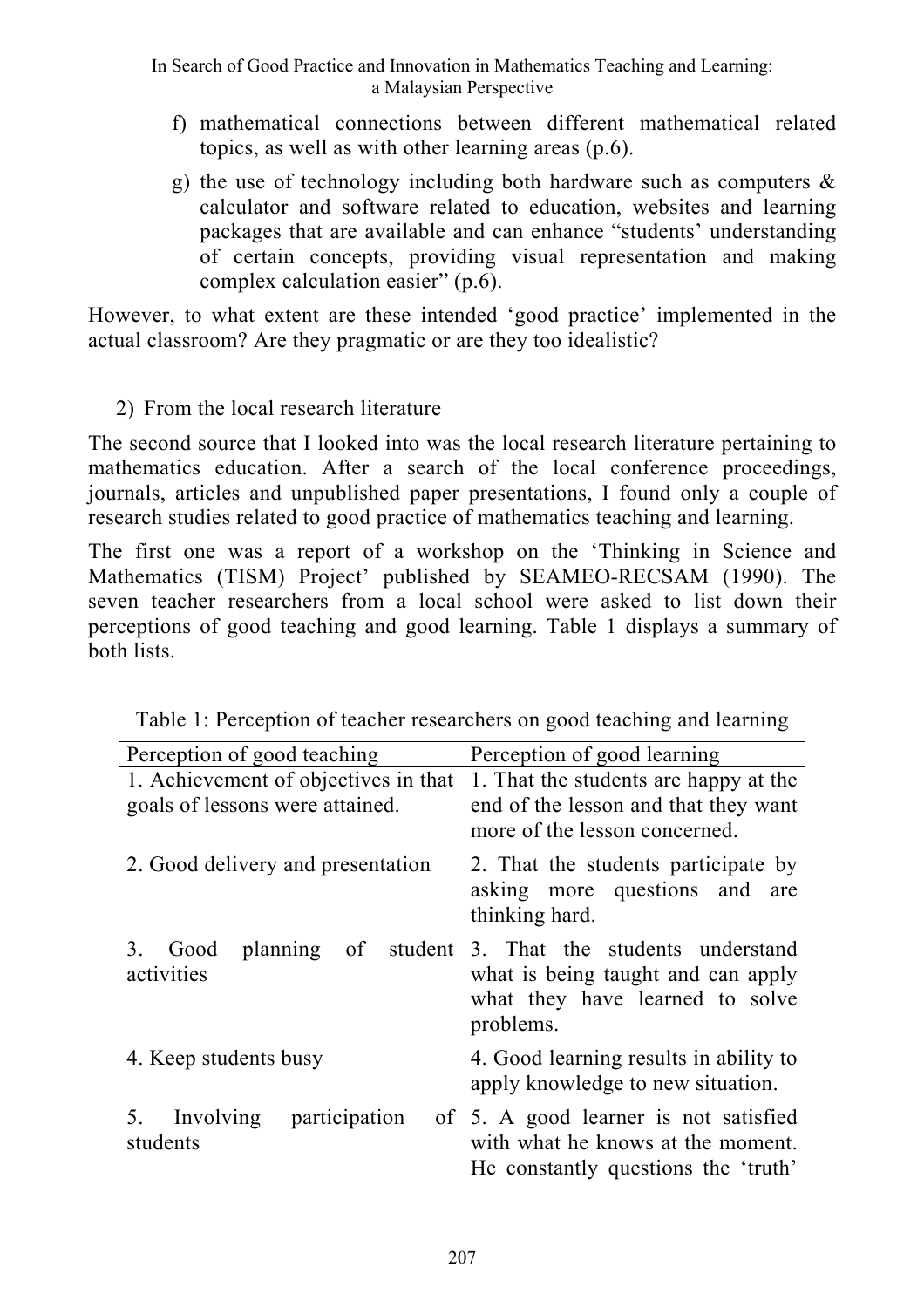In Search of Good Practice and Innovation in Mathematics Teaching and Learning: a Malaysian Perspective

- f) mathematical connections between different mathematical related topics, as well as with other learning areas (p.6).
- g) the use of technology including both hardware such as computers  $\&$ calculator and software related to education, websites and learning packages that are available and can enhance "students' understanding of certain concepts, providing visual representation and making complex calculation easier" (p.6).

However, to what extent are these intended 'good practice' implemented in the actual classroom? Are they pragmatic or are they too idealistic?

2) From the local research literature

The second source that I looked into was the local research literature pertaining to mathematics education. After a search of the local conference proceedings, journals, articles and unpublished paper presentations, I found only a couple of research studies related to good practice of mathematics teaching and learning.

The first one was a report of a workshop on the 'Thinking in Science and Mathematics (TISM) Project' published by SEAMEO-RECSAM (1990). The seven teacher researchers from a local school were asked to list down their perceptions of good teaching and good learning. Table 1 displays a summary of both lists.

| Perception of good teaching                                             | Perception of good learning                                                                                           |  |
|-------------------------------------------------------------------------|-----------------------------------------------------------------------------------------------------------------------|--|
| 1. Achievement of objectives in that<br>goals of lessons were attained. | 1. That the students are happy at the<br>end of the lesson and that they want<br>more of the lesson concerned.        |  |
| 2. Good delivery and presentation                                       | 2. That the students participate by<br>asking more questions and<br>are<br>thinking hard.                             |  |
| planning<br>$\sigma$<br>student<br>3.<br>Good<br>activities             | 3. That the students understand<br>what is being taught and can apply<br>what they have learned to solve<br>problems. |  |
| 4. Keep students busy                                                   | 4. Good learning results in ability to<br>apply knowledge to new situation.                                           |  |
| 5. Involving<br>participation<br>students                               | of 5. A good learner is not satisfied<br>with what he knows at the moment.<br>He constantly questions the 'truth'     |  |

Table 1: Perception of teacher researchers on good teaching and learning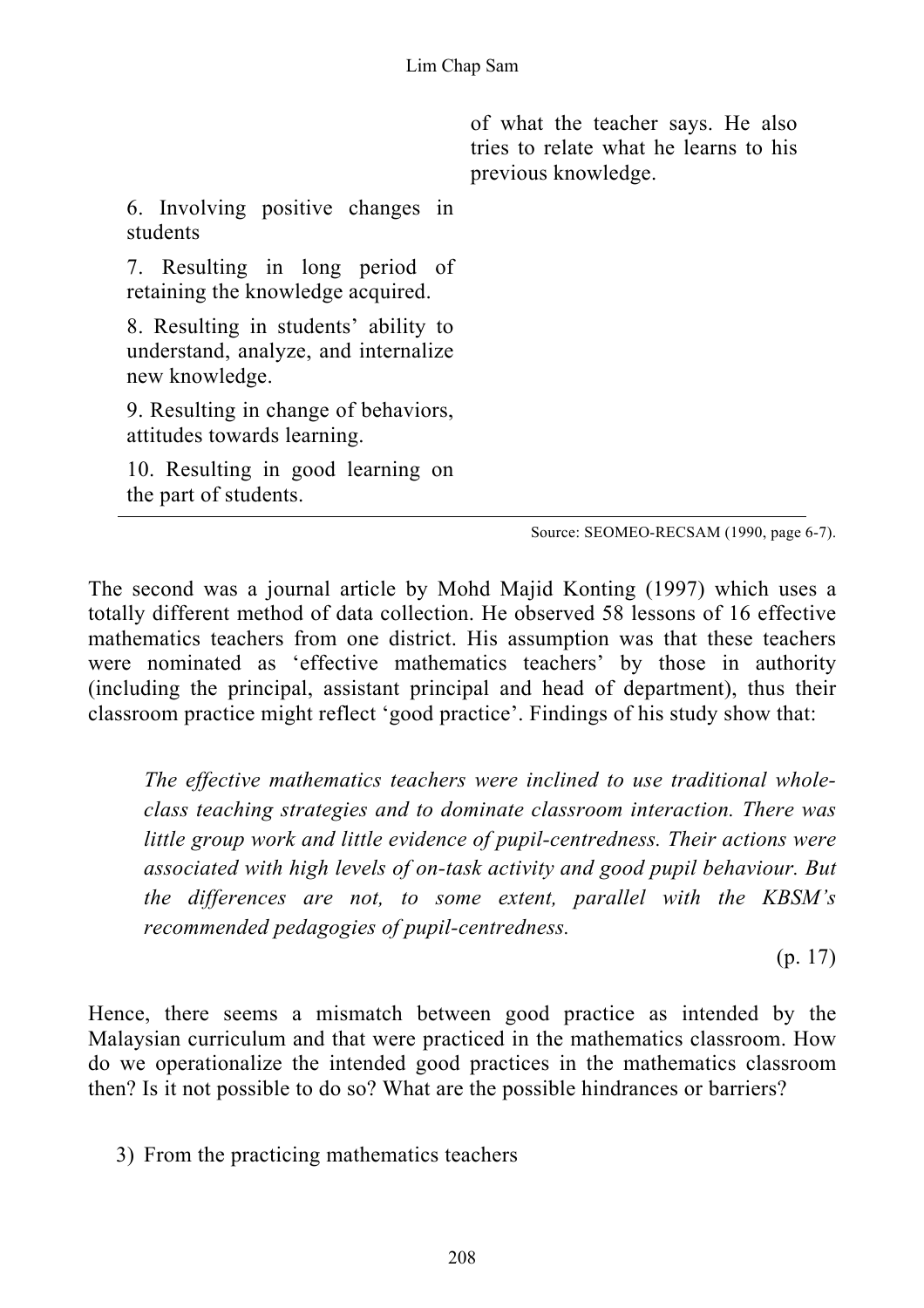of what the teacher says. He also tries to relate what he learns to his previous knowledge.

6. Involving positive changes in students

7. Resulting in long period of retaining the knowledge acquired.

8. Resulting in students' ability to understand, analyze, and internalize new knowledge.

9. Resulting in change of behaviors, attitudes towards learning.

10. Resulting in good learning on the part of students.

Source: SEOMEO-RECSAM (1990, page 6-7).

The second was a journal article by Mohd Majid Konting (1997) which uses a totally different method of data collection. He observed 58 lessons of 16 effective mathematics teachers from one district. His assumption was that these teachers were nominated as 'effective mathematics teachers' by those in authority (including the principal, assistant principal and head of department), thus their classroom practice might reflect 'good practice'. Findings of his study show that:

*The effective mathematics teachers were inclined to use traditional wholeclass teaching strategies and to dominate classroom interaction. There was little group work and little evidence of pupil-centredness. Their actions were associated with high levels of on-task activity and good pupil behaviour. But the differences are not, to some extent, parallel with the KBSM's recommended pedagogies of pupil-centredness.* 

(p. 17)

Hence, there seems a mismatch between good practice as intended by the Malaysian curriculum and that were practiced in the mathematics classroom. How do we operationalize the intended good practices in the mathematics classroom then? Is it not possible to do so? What are the possible hindrances or barriers?

3) From the practicing mathematics teachers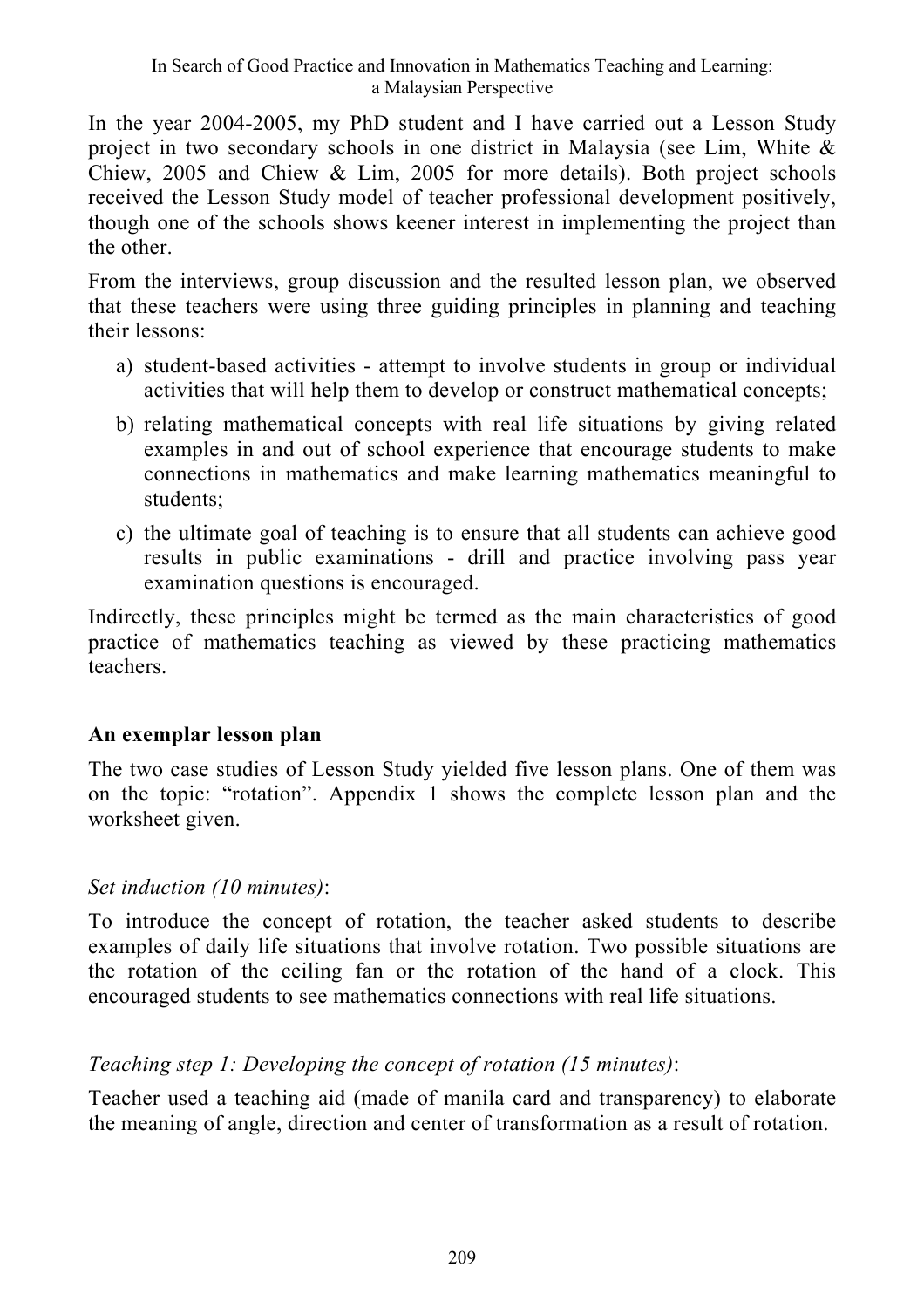In the year 2004-2005, my PhD student and I have carried out a Lesson Study project in two secondary schools in one district in Malaysia (see Lim, White & Chiew, 2005 and Chiew & Lim, 2005 for more details). Both project schools received the Lesson Study model of teacher professional development positively, though one of the schools shows keener interest in implementing the project than the other.

From the interviews, group discussion and the resulted lesson plan, we observed that these teachers were using three guiding principles in planning and teaching their lessons:

- a) student-based activities attempt to involve students in group or individual activities that will help them to develop or construct mathematical concepts;
- b) relating mathematical concepts with real life situations by giving related examples in and out of school experience that encourage students to make connections in mathematics and make learning mathematics meaningful to students;
- c) the ultimate goal of teaching is to ensure that all students can achieve good results in public examinations - drill and practice involving pass year examination questions is encouraged.

Indirectly, these principles might be termed as the main characteristics of good practice of mathematics teaching as viewed by these practicing mathematics teachers.

#### **An exemplar lesson plan**

The two case studies of Lesson Study yielded five lesson plans. One of them was on the topic: "rotation". Appendix 1 shows the complete lesson plan and the worksheet given.

#### *Set induction (10 minutes)*:

To introduce the concept of rotation, the teacher asked students to describe examples of daily life situations that involve rotation. Two possible situations are the rotation of the ceiling fan or the rotation of the hand of a clock. This encouraged students to see mathematics connections with real life situations.

## *Teaching step 1: Developing the concept of rotation (15 minutes)*:

Teacher used a teaching aid (made of manila card and transparency) to elaborate the meaning of angle, direction and center of transformation as a result of rotation.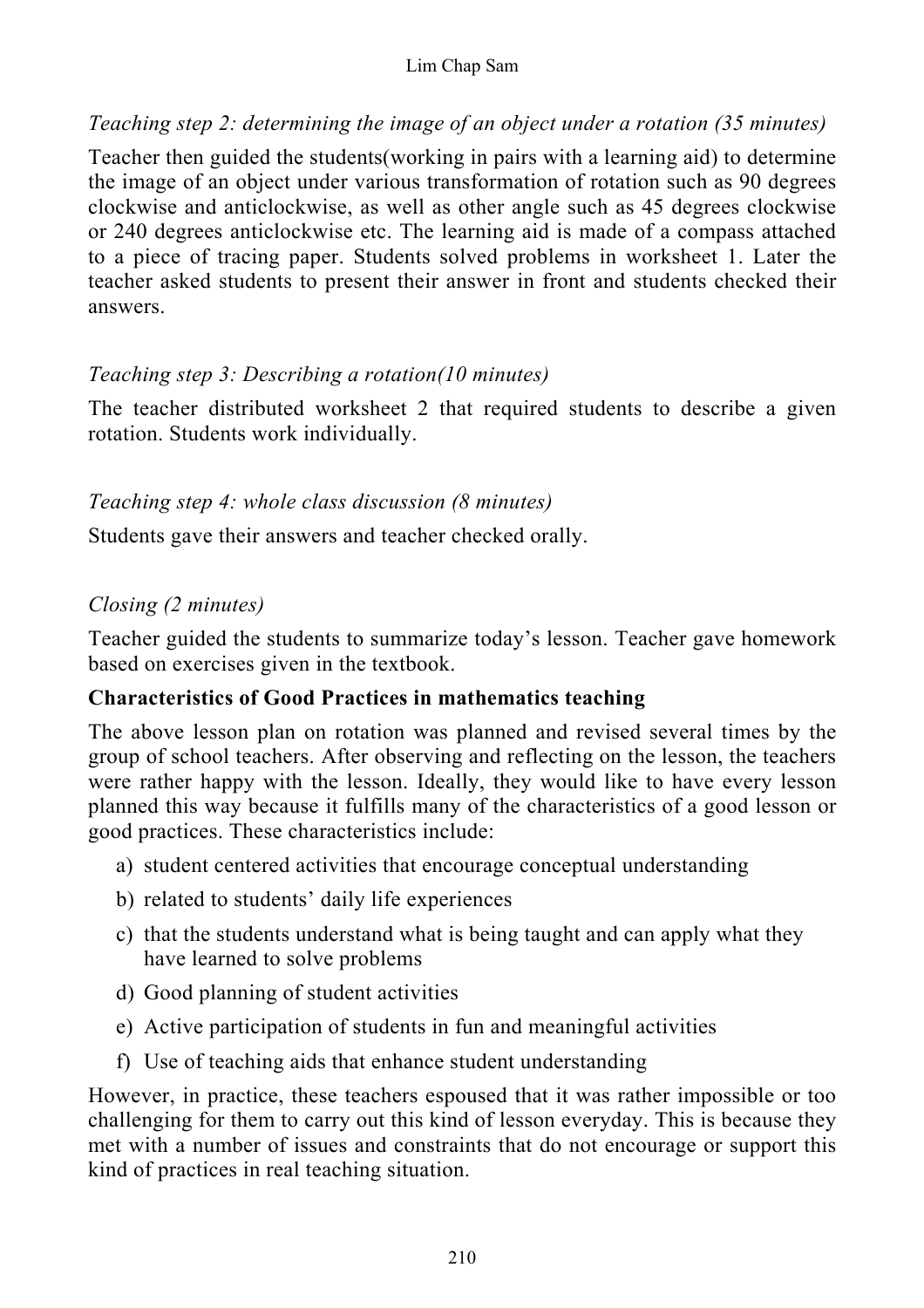#### Lim Chap Sam

#### *Teaching step 2: determining the image of an object under a rotation (35 minutes)*

Teacher then guided the students(working in pairs with a learning aid) to determine the image of an object under various transformation of rotation such as 90 degrees clockwise and anticlockwise, as well as other angle such as 45 degrees clockwise or 240 degrees anticlockwise etc. The learning aid is made of a compass attached to a piece of tracing paper. Students solved problems in worksheet 1. Later the teacher asked students to present their answer in front and students checked their answers.

#### *Teaching step 3: Describing a rotation(10 minutes)*

The teacher distributed worksheet 2 that required students to describe a given rotation. Students work individually.

#### *Teaching step 4: whole class discussion (8 minutes)*

Students gave their answers and teacher checked orally.

## *Closing (2 minutes)*

Teacher guided the students to summarize today's lesson. Teacher gave homework based on exercises given in the textbook.

## **Characteristics of Good Practices in mathematics teaching**

The above lesson plan on rotation was planned and revised several times by the group of school teachers. After observing and reflecting on the lesson, the teachers were rather happy with the lesson. Ideally, they would like to have every lesson planned this way because it fulfills many of the characteristics of a good lesson or good practices. These characteristics include:

- a) student centered activities that encourage conceptual understanding
- b) related to students' daily life experiences
- c) that the students understand what is being taught and can apply what they have learned to solve problems
- d) Good planning of student activities
- e) Active participation of students in fun and meaningful activities
- f) Use of teaching aids that enhance student understanding

However, in practice, these teachers espoused that it was rather impossible or too challenging for them to carry out this kind of lesson everyday. This is because they met with a number of issues and constraints that do not encourage or support this kind of practices in real teaching situation.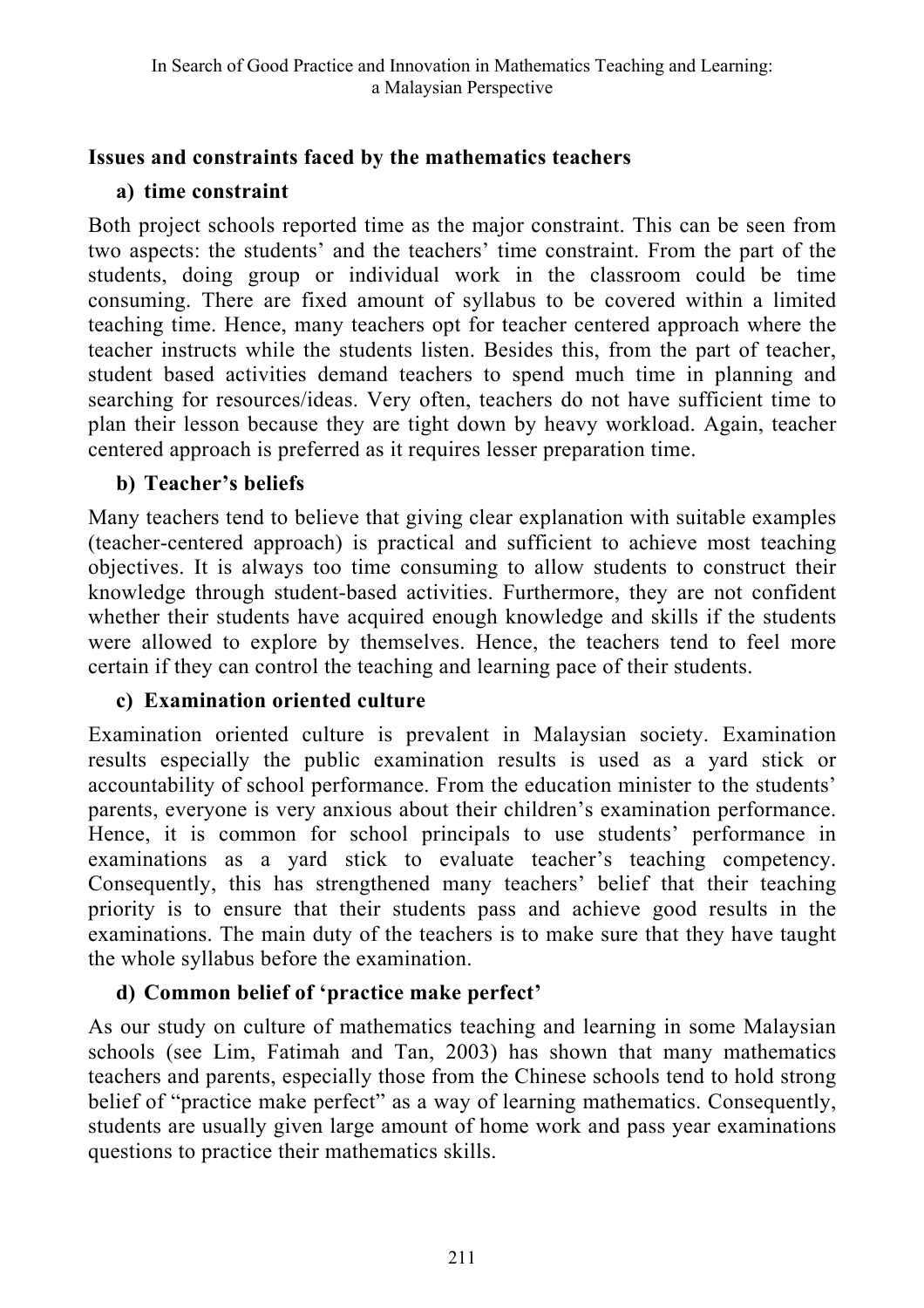## **Issues and constraints faced by the mathematics teachers**

## **a) time constraint**

Both project schools reported time as the major constraint. This can be seen from two aspects: the students' and the teachers' time constraint. From the part of the students, doing group or individual work in the classroom could be time consuming. There are fixed amount of syllabus to be covered within a limited teaching time. Hence, many teachers opt for teacher centered approach where the teacher instructs while the students listen. Besides this, from the part of teacher, student based activities demand teachers to spend much time in planning and searching for resources/ideas. Very often, teachers do not have sufficient time to plan their lesson because they are tight down by heavy workload. Again, teacher centered approach is preferred as it requires lesser preparation time.

## **b) Teacher's beliefs**

Many teachers tend to believe that giving clear explanation with suitable examples (teacher-centered approach) is practical and sufficient to achieve most teaching objectives. It is always too time consuming to allow students to construct their knowledge through student-based activities. Furthermore, they are not confident whether their students have acquired enough knowledge and skills if the students were allowed to explore by themselves. Hence, the teachers tend to feel more certain if they can control the teaching and learning pace of their students.

## **c) Examination oriented culture**

Examination oriented culture is prevalent in Malaysian society. Examination results especially the public examination results is used as a yard stick or accountability of school performance. From the education minister to the students' parents, everyone is very anxious about their children's examination performance. Hence, it is common for school principals to use students' performance in examinations as a yard stick to evaluate teacher's teaching competency. Consequently, this has strengthened many teachers' belief that their teaching priority is to ensure that their students pass and achieve good results in the examinations. The main duty of the teachers is to make sure that they have taught the whole syllabus before the examination.

# **d) Common belief of 'practice make perfect'**

As our study on culture of mathematics teaching and learning in some Malaysian schools (see Lim, Fatimah and Tan, 2003) has shown that many mathematics teachers and parents, especially those from the Chinese schools tend to hold strong belief of "practice make perfect" as a way of learning mathematics. Consequently, students are usually given large amount of home work and pass year examinations questions to practice their mathematics skills.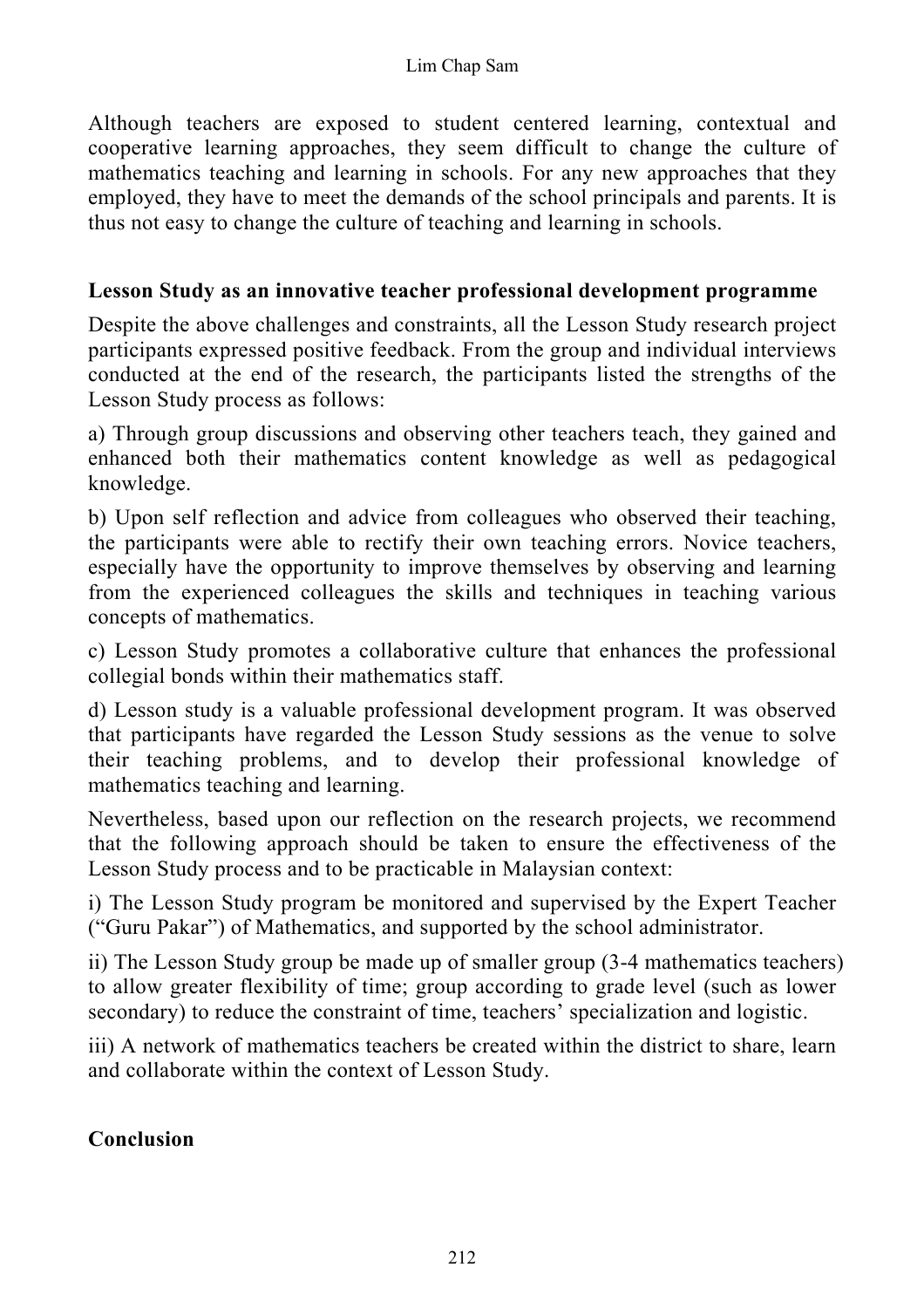Although teachers are exposed to student centered learning, contextual and cooperative learning approaches, they seem difficult to change the culture of mathematics teaching and learning in schools. For any new approaches that they employed, they have to meet the demands of the school principals and parents. It is thus not easy to change the culture of teaching and learning in schools.

#### **Lesson Study as an innovative teacher professional development programme**

Despite the above challenges and constraints, all the Lesson Study research project participants expressed positive feedback. From the group and individual interviews conducted at the end of the research, the participants listed the strengths of the Lesson Study process as follows:

a) Through group discussions and observing other teachers teach, they gained and enhanced both their mathematics content knowledge as well as pedagogical knowledge.

b) Upon self reflection and advice from colleagues who observed their teaching, the participants were able to rectify their own teaching errors. Novice teachers, especially have the opportunity to improve themselves by observing and learning from the experienced colleagues the skills and techniques in teaching various concepts of mathematics.

c) Lesson Study promotes a collaborative culture that enhances the professional collegial bonds within their mathematics staff.

d) Lesson study is a valuable professional development program. It was observed that participants have regarded the Lesson Study sessions as the venue to solve their teaching problems, and to develop their professional knowledge of mathematics teaching and learning.

Nevertheless, based upon our reflection on the research projects, we recommend that the following approach should be taken to ensure the effectiveness of the Lesson Study process and to be practicable in Malaysian context:

i) The Lesson Study program be monitored and supervised by the Expert Teacher ("Guru Pakar") of Mathematics, and supported by the school administrator.

ii) The Lesson Study group be made up of smaller group (3-4 mathematics teachers) to allow greater flexibility of time; group according to grade level (such as lower secondary) to reduce the constraint of time, teachers' specialization and logistic.

iii) A network of mathematics teachers be created within the district to share, learn and collaborate within the context of Lesson Study.

#### **Conclusion**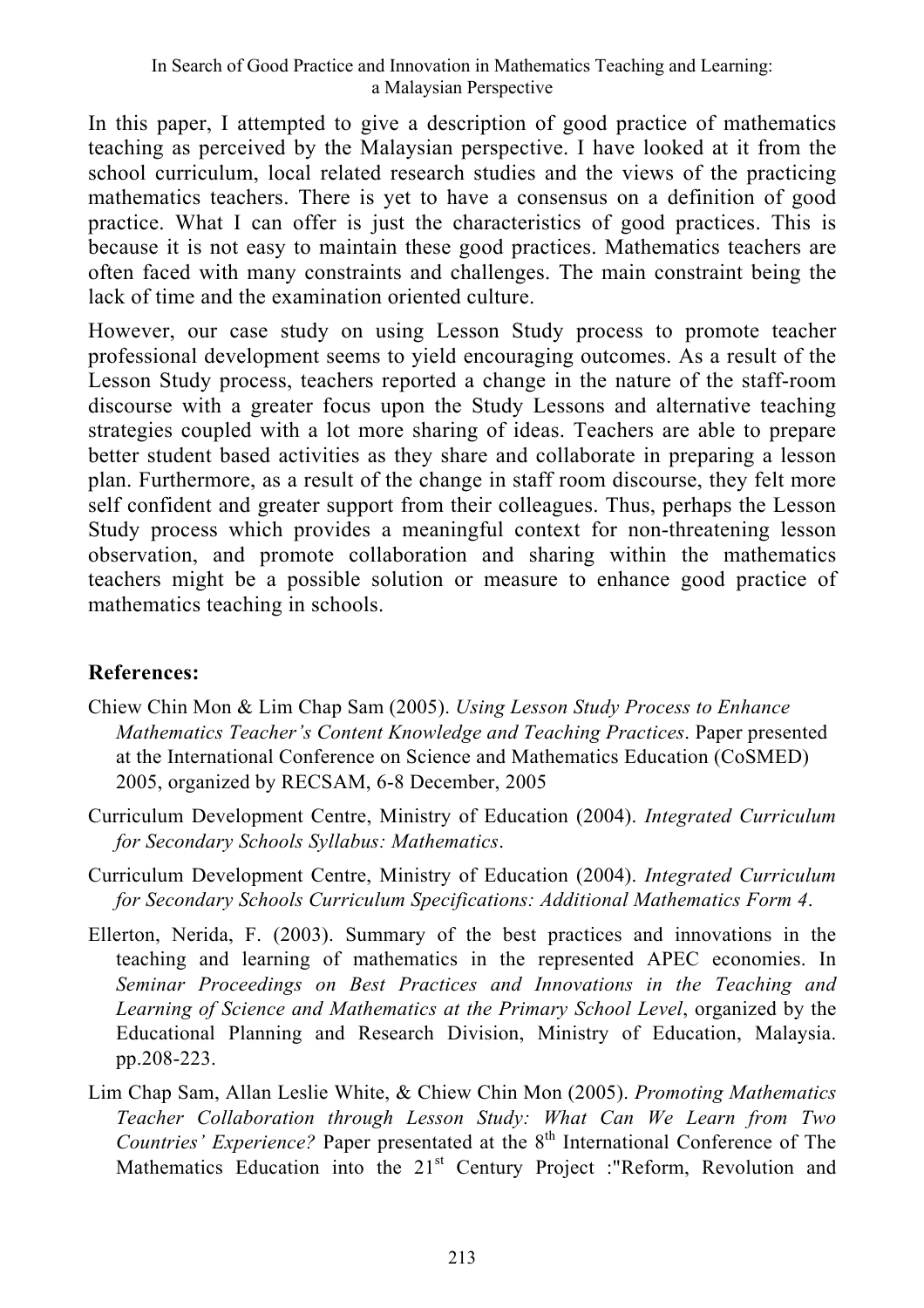In this paper, I attempted to give a description of good practice of mathematics teaching as perceived by the Malaysian perspective. I have looked at it from the school curriculum, local related research studies and the views of the practicing mathematics teachers. There is yet to have a consensus on a definition of good practice. What I can offer is just the characteristics of good practices. This is because it is not easy to maintain these good practices. Mathematics teachers are often faced with many constraints and challenges. The main constraint being the lack of time and the examination oriented culture.

However, our case study on using Lesson Study process to promote teacher professional development seems to yield encouraging outcomes. As a result of the Lesson Study process, teachers reported a change in the nature of the staff-room discourse with a greater focus upon the Study Lessons and alternative teaching strategies coupled with a lot more sharing of ideas. Teachers are able to prepare better student based activities as they share and collaborate in preparing a lesson plan. Furthermore, as a result of the change in staff room discourse, they felt more self confident and greater support from their colleagues. Thus, perhaps the Lesson Study process which provides a meaningful context for non-threatening lesson observation, and promote collaboration and sharing within the mathematics teachers might be a possible solution or measure to enhance good practice of mathematics teaching in schools.

## **References:**

- Chiew Chin Mon & Lim Chap Sam (2005). *Using Lesson Study Process to Enhance Mathematics Teacher's Content Knowledge and Teaching Practices*. Paper presented at the International Conference on Science and Mathematics Education (CoSMED) 2005, organized by RECSAM, 6-8 December, 2005
- Curriculum Development Centre, Ministry of Education (2004). *Integrated Curriculum for Secondary Schools Syllabus: Mathematics*.
- Curriculum Development Centre, Ministry of Education (2004). *Integrated Curriculum for Secondary Schools Curriculum Specifications: Additional Mathematics Form 4*.
- Ellerton, Nerida, F. (2003). Summary of the best practices and innovations in the teaching and learning of mathematics in the represented APEC economies. In *Seminar Proceedings on Best Practices and Innovations in the Teaching and Learning of Science and Mathematics at the Primary School Level*, organized by the Educational Planning and Research Division, Ministry of Education, Malaysia. pp.208-223.
- Lim Chap Sam, Allan Leslie White, & Chiew Chin Mon (2005). *Promoting Mathematics Teacher Collaboration through Lesson Study: What Can We Learn from Two Countries' Experience?* Paper presentated at the 8<sup>th</sup> International Conference of The Mathematics Education into the 21<sup>st</sup> Century Project :"Reform, Revolution and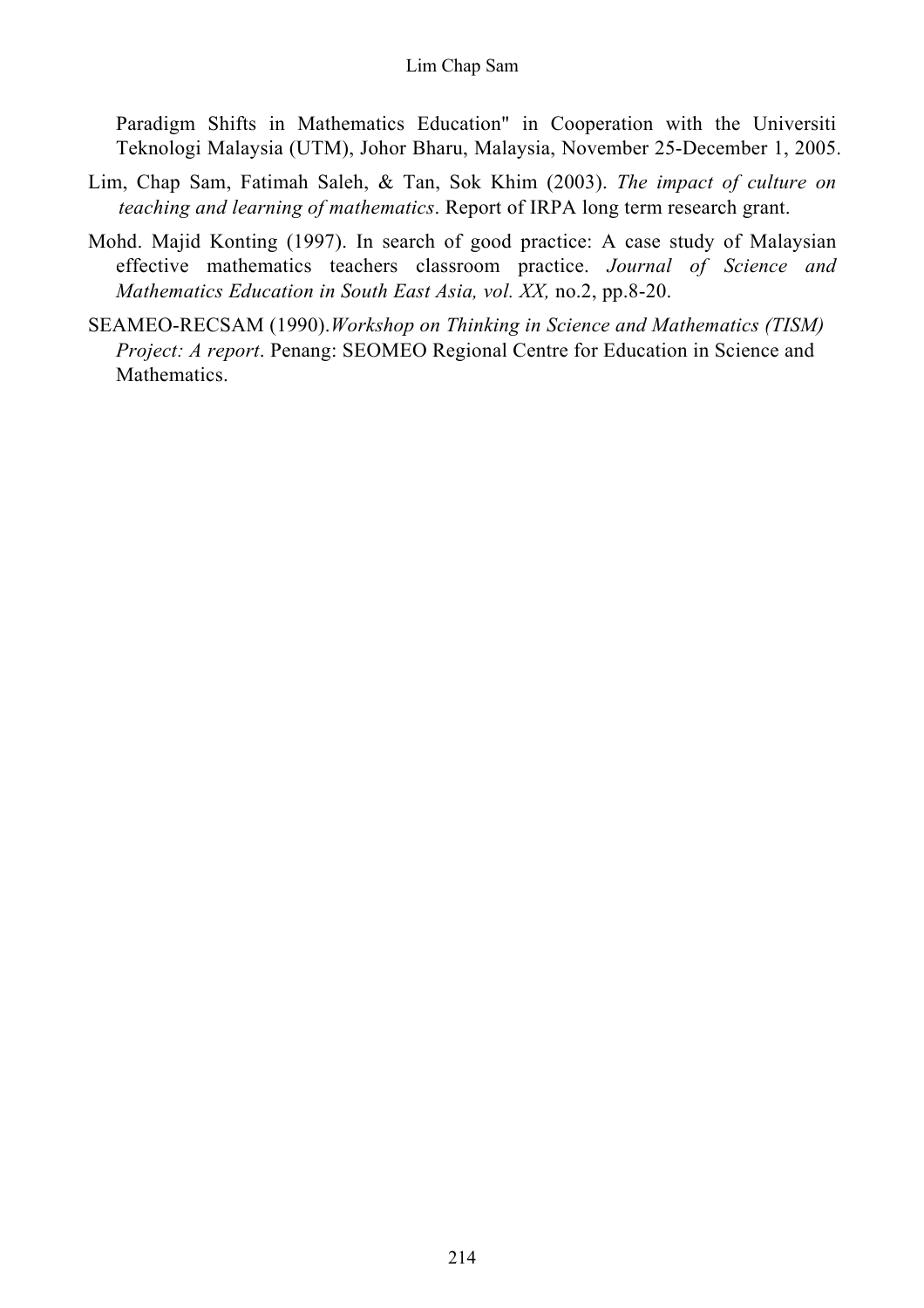Paradigm Shifts in Mathematics Education" in Cooperation with the Universiti Teknologi Malaysia (UTM), Johor Bharu, Malaysia, November 25-December 1, 2005.

- Lim, Chap Sam, Fatimah Saleh, & Tan, Sok Khim (2003). *The impact of culture on teaching and learning of mathematics*. Report of IRPA long term research grant.
- Mohd. Majid Konting (1997). In search of good practice: A case study of Malaysian effective mathematics teachers classroom practice. *Journal of Science and Mathematics Education in South East Asia, vol. XX,* no.2, pp.8-20.
- SEAMEO-RECSAM (1990).*Workshop on Thinking in Science and Mathematics (TISM) Project: A report.* Penang: SEOMEO Regional Centre for Education in Science and Mathematics.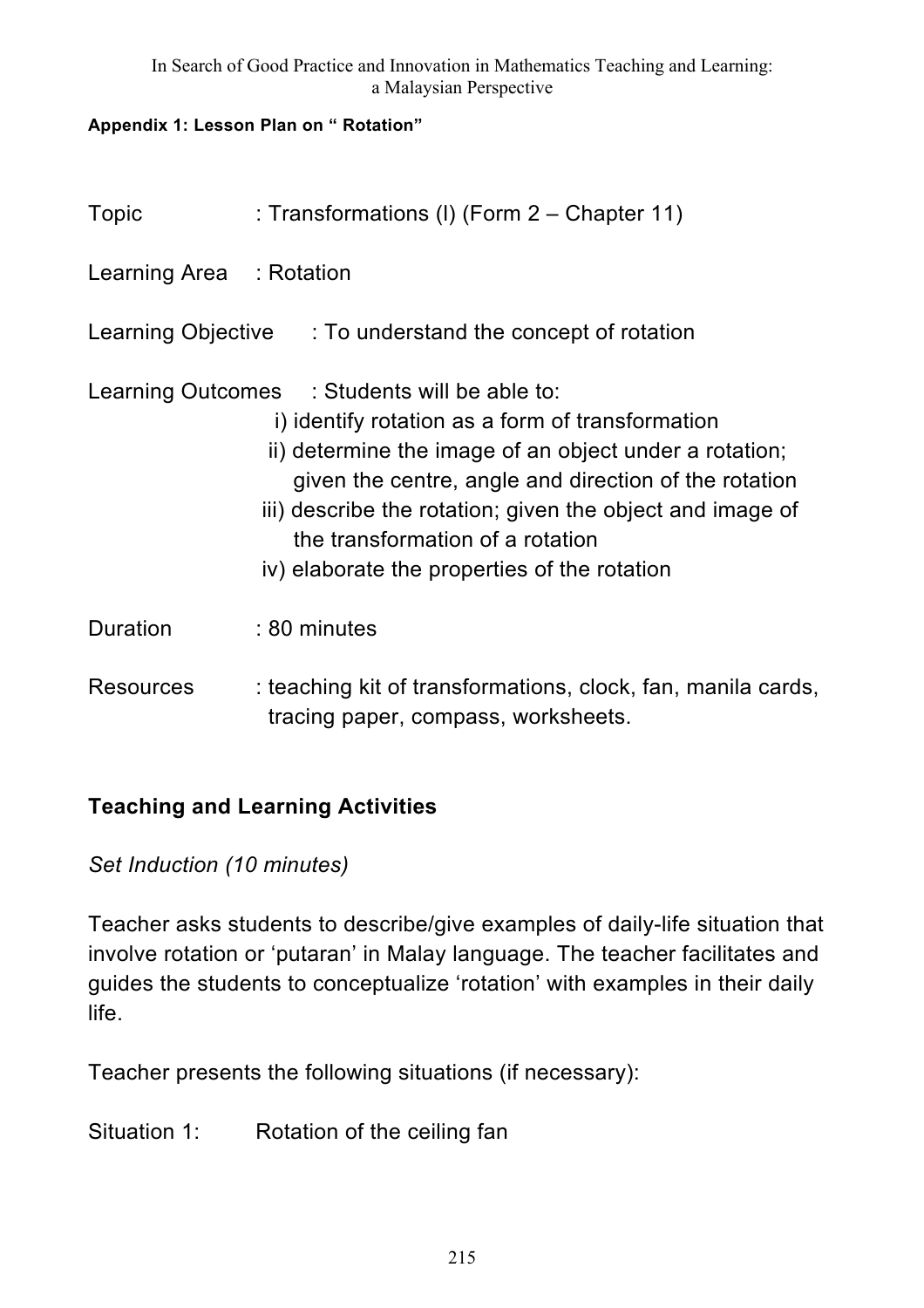#### **Appendix 1: Lesson Plan on " Rotation"**

| Topic                    | : Transformations (I) (Form 2 – Chapter 11)                                                                                                                                                                                                                                                                                                                           |
|--------------------------|-----------------------------------------------------------------------------------------------------------------------------------------------------------------------------------------------------------------------------------------------------------------------------------------------------------------------------------------------------------------------|
| Learning Area : Rotation |                                                                                                                                                                                                                                                                                                                                                                       |
|                          | Learning Objective : To understand the concept of rotation                                                                                                                                                                                                                                                                                                            |
|                          | Learning Outcomes : Students will be able to:<br>i) identify rotation as a form of transformation<br>ii) determine the image of an object under a rotation;<br>given the centre, angle and direction of the rotation<br>iii) describe the rotation; given the object and image of<br>the transformation of a rotation<br>iv) elaborate the properties of the rotation |
| <b>Duration</b>          | : 80 minutes                                                                                                                                                                                                                                                                                                                                                          |
| <b>Resources</b>         | : teaching kit of transformations, clock, fan, manila cards,<br>tracing paper, compass, worksheets.                                                                                                                                                                                                                                                                   |

## **Teaching and Learning Activities**

# *Set Induction (10 minutes)*

Teacher asks students to describe/give examples of daily-life situation that involve rotation or 'putaran' in Malay language. The teacher facilitates and guides the students to conceptualize 'rotation' with examples in their daily life.

Teacher presents the following situations (if necessary):

Situation 1: Rotation of the ceiling fan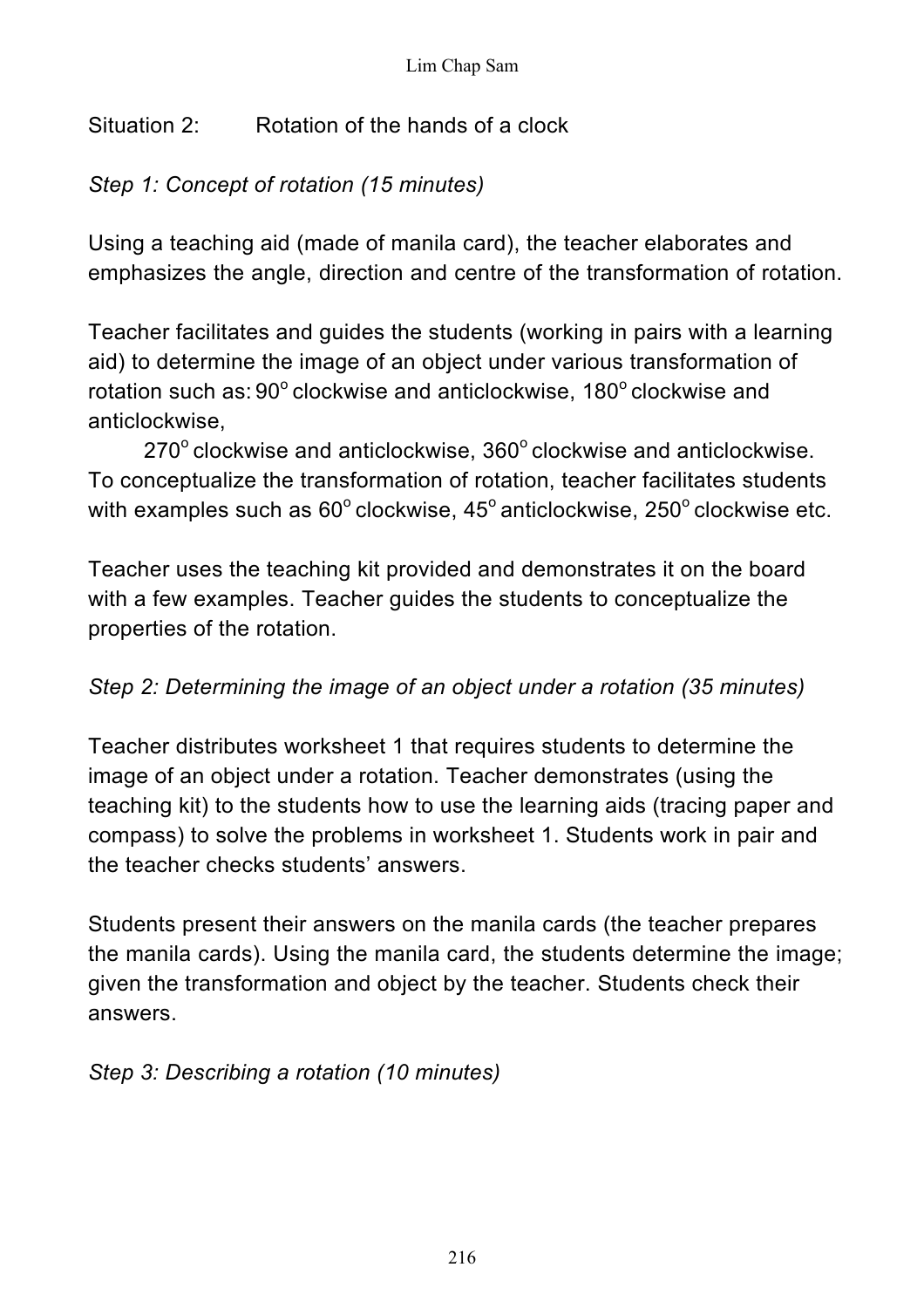# Situation 2: Rotation of the hands of a clock

# *Step 1: Concept of rotation (15 minutes)*

Using a teaching aid (made of manila card), the teacher elaborates and emphasizes the angle, direction and centre of the transformation of rotation.

Teacher facilitates and guides the students (working in pairs with a learning aid) to determine the image of an object under various transformation of rotation such as: 90° clockwise and anticlockwise, 180° clockwise and anticlockwise,

 $270^{\circ}$  clockwise and anticlockwise,  $360^{\circ}$  clockwise and anticlockwise. To conceptualize the transformation of rotation, teacher facilitates students with examples such as  $60^{\circ}$  clockwise,  $45^{\circ}$  anticlockwise,  $250^{\circ}$  clockwise etc.

Teacher uses the teaching kit provided and demonstrates it on the board with a few examples. Teacher guides the students to conceptualize the properties of the rotation.

# *Step 2: Determining the image of an object under a rotation (35 minutes)*

Teacher distributes worksheet 1 that requires students to determine the image of an object under a rotation. Teacher demonstrates (using the teaching kit) to the students how to use the learning aids (tracing paper and compass) to solve the problems in worksheet 1. Students work in pair and the teacher checks students' answers.

Students present their answers on the manila cards (the teacher prepares the manila cards). Using the manila card, the students determine the image; given the transformation and object by the teacher. Students check their answers.

*Step 3: Describing a rotation (10 minutes)*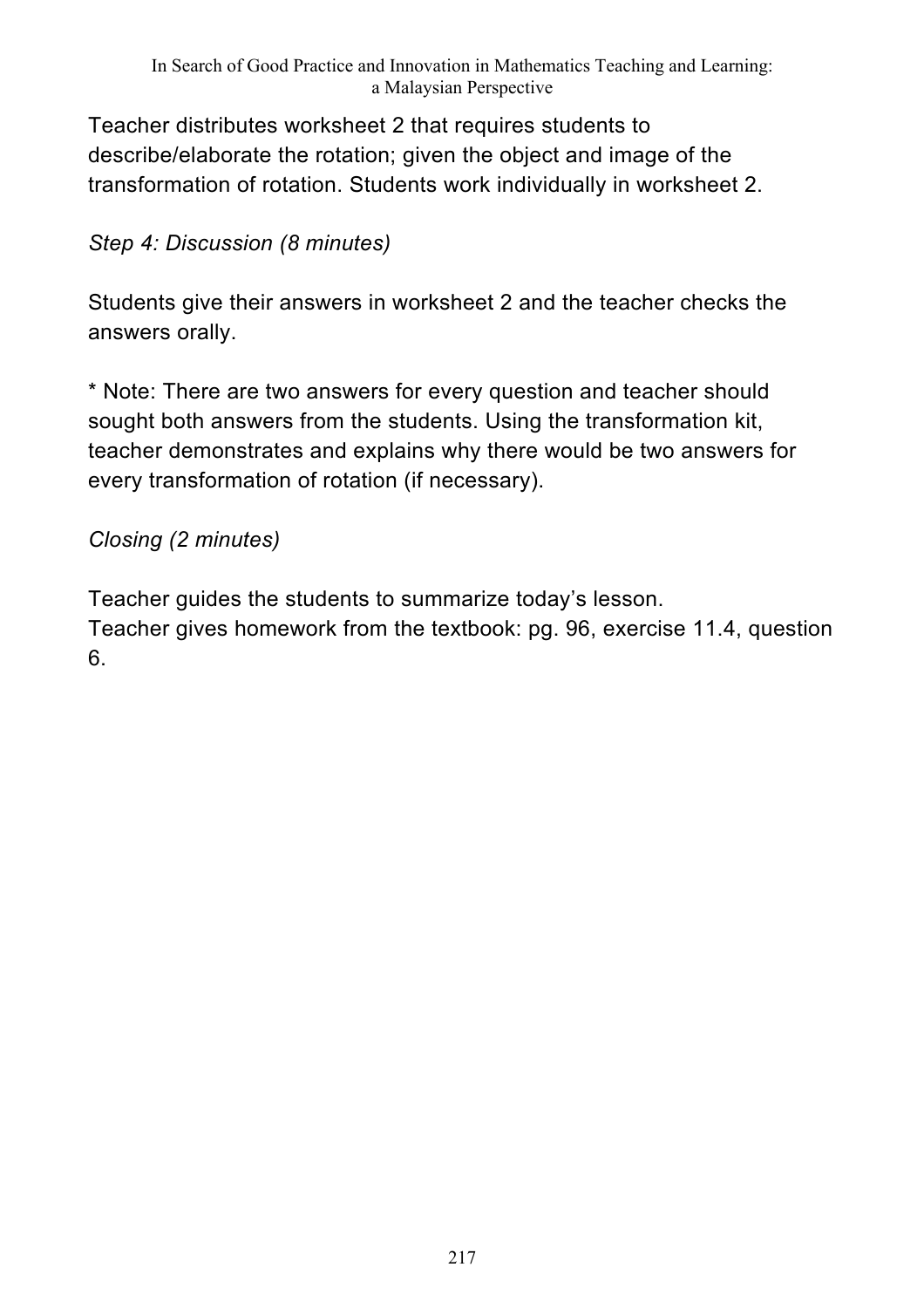Teacher distributes worksheet 2 that requires students to describe/elaborate the rotation; given the object and image of the transformation of rotation. Students work individually in worksheet 2.

*Step 4: Discussion (8 minutes)*

Students give their answers in worksheet 2 and the teacher checks the answers orally.

\* Note: There are two answers for every question and teacher should sought both answers from the students. Using the transformation kit, teacher demonstrates and explains why there would be two answers for every transformation of rotation (if necessary).

*Closing (2 minutes)* 

Teacher guides the students to summarize today's lesson.

Teacher gives homework from the textbook: pg. 96, exercise 11.4, question 6.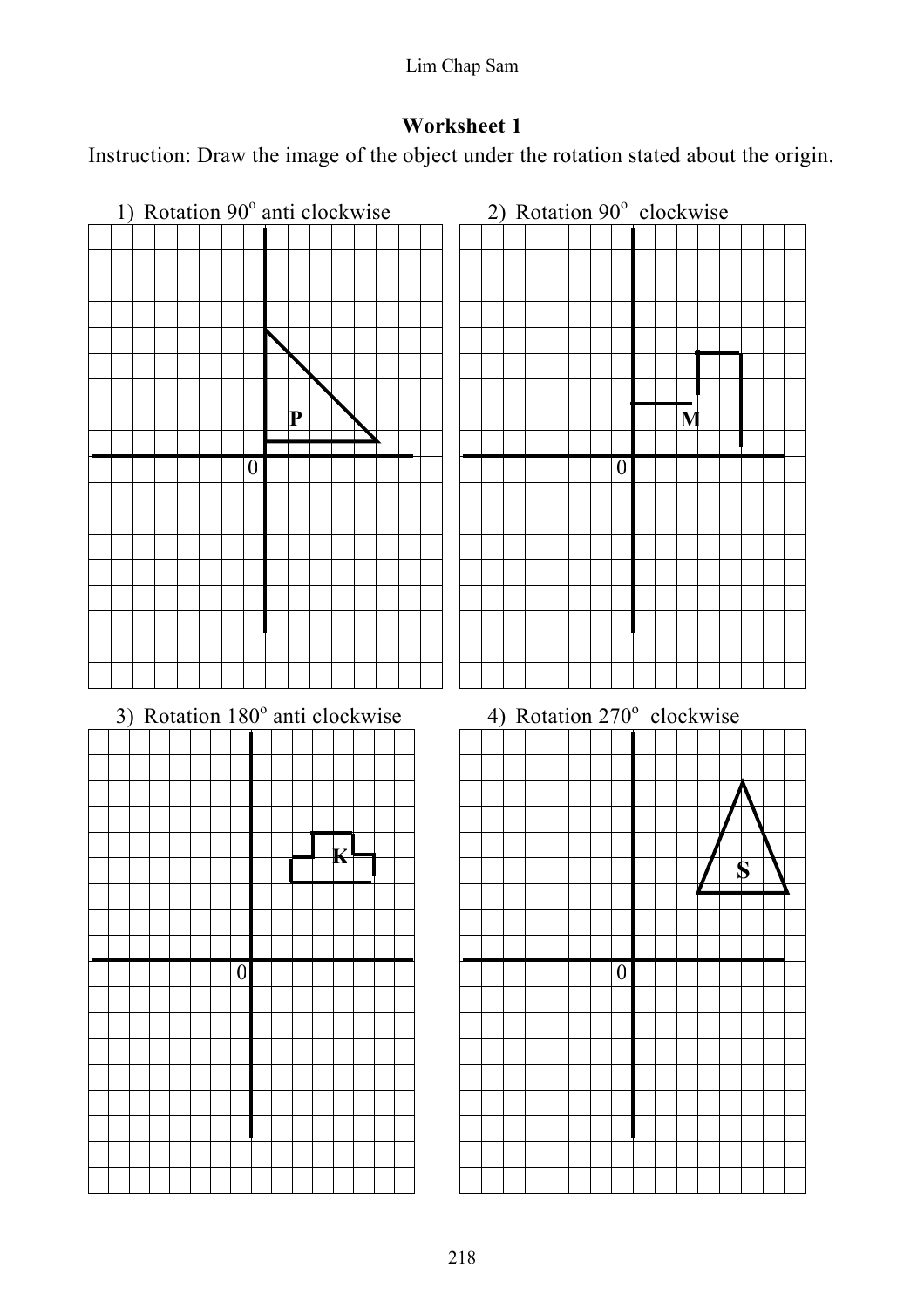Lim Chap Sam

# **Worksheet 1**

Instruction: Draw the image of the object under the rotation stated about the origin.